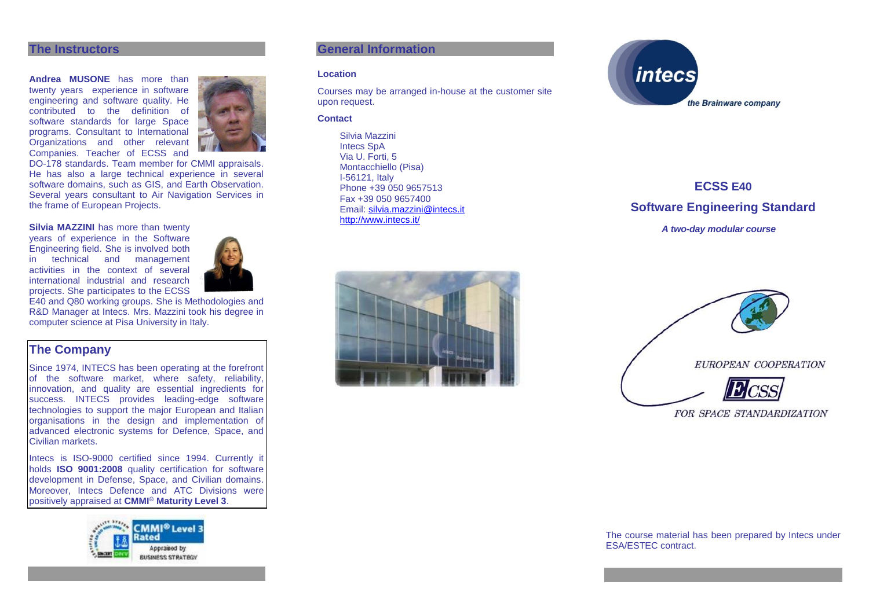### **The Instructors**

**Andrea MUSONE** has more than twenty years experience in software engineering and software quality. He contributed to the definition of software standards for large Space programs. Consultant to International Organizations and other relevant Companies. Teacher of ECSS and



DO-178 standards. Team member for CMMI appraisals. He has also a large technical experience in several software domains, such as GIS, and Earth Observation. Several years consultant to Air Navigation Services in the frame of European Projects.

### **Silvia MAZZINI** has more than twenty

years of experience in the Software Engineering field. She is involved both in technical and management activities in the context of several international industrial and research projects. She participates to the ECSS



E40 and Q80 working groups. She is Methodologies and R&D Manager at Intecs. Mrs. Mazzini took his degree in computer science at Pisa University in Italy.

# **The Company**

Since 1974, INTECS has been operating at the forefront of the software market, where safety, reliability, innovation, and quality are essential ingredients for success. INTECS provides leading-edge software technologies to support the major European and Italian organisations in the design and implementation of advanced electronic systems for Defence, Space, and Civilian markets.

Intecs is ISO-9000 certified since 1994. Currently it holds **ISO 9001:2008** quality certification for software development in Defense, Space, and Civilian domains. Moreover, Intecs Defence and ATC Divisions were positively appraised at **CMMI® Maturity Level 3**.



### **General Information**

#### **Location**

Courses may be arranged in-house at the customer site upon request.

#### **Contact**

Silvia Mazzini Intecs SpA Via U. Forti, 5 Montacchiello (Pisa) I-56121, Italy Phone +39 050 9657513 Fax +39 050 9657400 Email: [silvia.mazzini@intecs.it](mailto:andrea.musone@intecs.it) <http://www.intecs.it/>



**ECSS E40 Software Engineering Standard** *A two-day modular course*





FOR SPACE STANDARDIZATION

The course material has been prepared by Intecs under ESA/ESTEC contract.